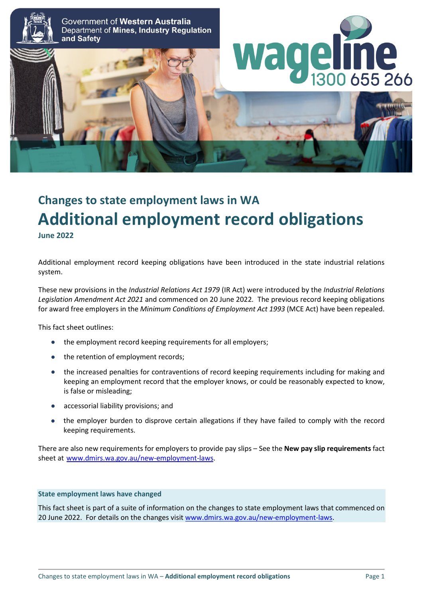

# **Changes to state employment laws in WA Additional employment record obligations June 2022**

Additional employment record keeping obligations have been introduced in the state industrial relations system.

These new provisions in the *Industrial Relations Act 1979* (IR Act) were introduced by the *Industrial Relations Legislation Amendment Act 2021* and commenced on 20 June 2022*.* The previous record keeping obligations for award free employers in the *Minimum Conditions of Employment Act 1993* (MCE Act) have been repealed.

This fact sheet outlines:

- the employment record keeping requirements for all employers;
- the retention of employment records;
- the increased penalties for contraventions of record keeping requirements including for making and keeping an employment record that the employer knows, or could be reasonably expected to know, is false or misleading;
- accessorial liability provisions; and
- the employer burden to disprove certain allegations if they have failed to comply with the record keeping requirements.

There are also new requirements for employers to provide pay slips – See the **New pay slip requirements** fact sheet at [www.dmirs.wa.gov.au/new-employment-laws.](http://www.dmirs.wa.gov.au/new-employment-laws)

#### **State employment laws have changed**

This fact sheet is part of a suite of information on the changes to state employment laws that commenced on 20 June 2022. For details on the changes visi[t www.dmirs.wa.gov.au/new-employment-laws.](http://www.dmirs.wa.gov.au/new-employment-laws)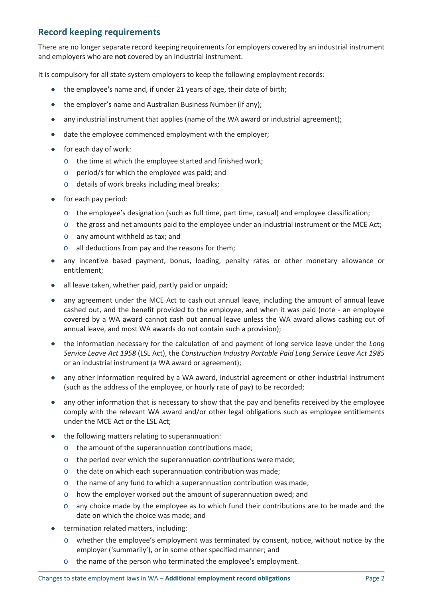## **Record keeping requirements**

There are no longer separate record keeping requirements for employers covered by an industrial instrument and employers who are **not** covered by an industrial instrument.

It is compulsory for all state system employers to keep the following employment records:

- the employee's name and, if under 21 years of age, their date of birth;
- the employer's name and Australian Business Number (if any);
- any industrial instrument that applies (name of the WA award or industrial agreement);
- date the employee commenced employment with the employer;
- for each day of work:
	- o the time at which the employee started and finished work;
	- o period/s for which the employee was paid; and
	- o details of work breaks including meal breaks;
- for each pay period:
	- o the employee's designation (such as full time, part time, casual) and employee classification;
	- o the gross and net amounts paid to the employee under an industrial instrument or the MCE Act;
	- o any amount withheld as tax; and
	- o all deductions from pay and the reasons for them;
- any incentive based payment, bonus, loading, penalty rates or other monetary allowance or entitlement;
- all leave taken, whether paid, partly paid or unpaid;
- any agreement under the MCE Act to cash out annual leave, including the amount of annual leave cashed out, and the benefit provided to the employee, and when it was paid (note - an employee covered by a WA award cannot cash out annual leave unless the WA award allows cashing out of annual leave, and most WA awards do not contain such a provision);
- the information necessary for the calculation of and payment of long service leave under the *Long Service Leave Act 1958* (LSL Act), the *Construction Industry Portable Paid Long Service Leave Act 1985* or an industrial instrument (a WA award or agreement);
- any other information required by a WA award, industrial agreement or other industrial instrument (such as the address of the employee, or hourly rate of pay) to be recorded;
- any other information that is necessary to show that the pay and benefits received by the employee comply with the relevant WA award and/or other legal obligations such as employee entitlements under the MCE Act or the LSL Act;
- the following matters relating to superannuation:
	- o the amount of the superannuation contributions made;
	- $\circ$  the period over which the superannuation contributions were made;
	- o the date on which each superannuation contribution was made;
	- o the name of any fund to which a superannuation contribution was made;
	- o how the employer worked out the amount of superannuation owed; and
	- $\circ$  any choice made by the employee as to which fund their contributions are to be made and the date on which the choice was made; and
- termination related matters, including:
	- o whether the employee's employment was terminated by consent, notice, without notice by the employer ('summarily'), or in some other specified manner; and
	- o the name of the person who terminated the employee's employment.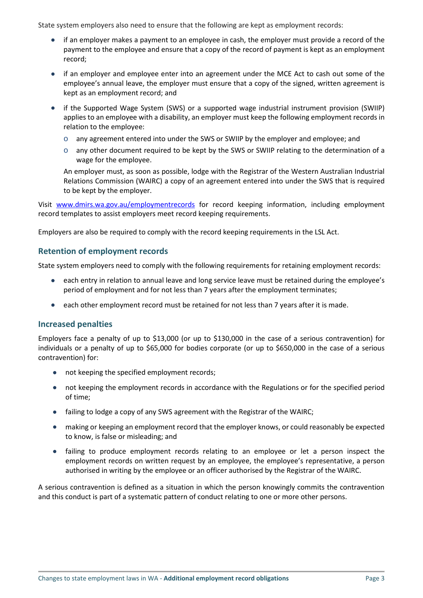State system employers also need to ensure that the following are kept as employment records:

- if an employer makes a payment to an employee in cash, the employer must provide a record of the payment to the employee and ensure that a copy of the record of payment is kept as an employment record;
- if an employer and employee enter into an agreement under the MCE Act to cash out some of the employee's annual leave, the employer must ensure that a copy of the signed, written agreement is kept as an employment record; and
- if the Supported Wage System (SWS) or a supported wage industrial instrument provision (SWIIP) applies to an employee with a disability, an employer must keep the following employment records in relation to the employee:
	- o any agreement entered into under the SWS or SWIIP by the employer and employee; and
	- o any other document required to be kept by the SWS or SWIIP relating to the determination of a wage for the employee.

An employer must, as soon as possible, lodge with the Registrar of the Western Australian Industrial Relations Commission (WAIRC) a copy of an agreement entered into under the SWS that is required to be kept by the employer.

Visit [www.dmirs.wa.gov.au/employmentrecords](http://www.dmirs.wa.gov.au/employmentrecords) for record keeping information, including employment record templates to assist employers meet record keeping requirements.

Employers are also be required to comply with the record keeping requirements in the LSL Act.

#### **Retention of employment records**

State system employers need to comply with the following requirements for retaining employment records:

- each entry in relation to annual leave and long service leave must be retained during the employee's period of employment and for not less than 7 years after the employment terminates;
- each other employment record must be retained for not less than 7 years after it is made.

#### **Increased penalties**

Employers face a penalty of up to \$13,000 (or up to \$130,000 in the case of a serious contravention) for individuals or a penalty of up to \$65,000 for bodies corporate (or up to \$650,000 in the case of a serious contravention) for:

- not keeping the specified employment records;
- not keeping the employment records in accordance with the Regulations or for the specified period of time;
- failing to lodge a copy of any SWS agreement with the Registrar of the WAIRC;
- making or keeping an employment record that the employer knows, or could reasonably be expected to know, is false or misleading; and
- failing to produce employment records relating to an employee or let a person inspect the employment records on written request by an employee, the employee's representative, a person authorised in writing by the employee or an officer authorised by the Registrar of the WAIRC.

A serious contravention is defined as a situation in which the person knowingly commits the contravention and this conduct is part of a systematic pattern of conduct relating to one or more other persons.